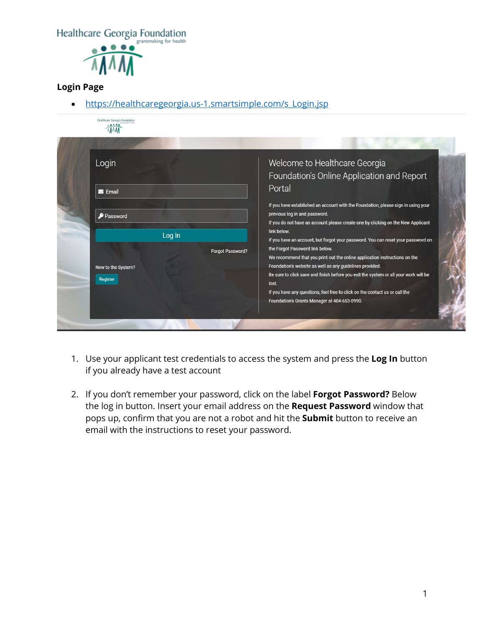Healthcare Georgia Foundation



## **Login Page**

• [https://healthcaregeorgia.us-1.smartsimple.com/s\\_Login.jsp](https://healthcaregeorgia.us-1.smartsimple.com/s_Login.jsp)

| Login                |                  | Welcome to Healthcare Georgia                                                                                       |
|----------------------|------------------|---------------------------------------------------------------------------------------------------------------------|
|                      |                  |                                                                                                                     |
|                      |                  | Foundation's Online Application and Report                                                                          |
| $\blacksquare$ Email |                  | Portal                                                                                                              |
|                      |                  | If you have established an account with the Foundation, please sign in using your                                   |
| Password             |                  | previous log in and password.                                                                                       |
|                      |                  | If you do not have an account please create one by clicking on the New Applicant                                    |
|                      | Log In           | link below.                                                                                                         |
|                      |                  | If you have an account, but forgot your password. You can reset your password on<br>the Forgot Password link below. |
|                      | Forgot Password? | We recommend that you print out the online application instructions on the                                          |
| New to the System?   |                  | Foundation's website as well as any guidelines provided.                                                            |
| Register             |                  | Be sure to click save and finish before you exit the system or all your work will be                                |
|                      |                  | lost.                                                                                                               |
|                      |                  | If you have any questions, feel free to click on the contact us or call the                                         |
|                      |                  | Foundation's Grants Manager at 404-653-0990.                                                                        |
|                      |                  |                                                                                                                     |

- 1. Use your applicant test credentials to access the system and press the **Log In** button if you already have a test account
- 2. If you don't remember your password, click on the label **Forgot Password?** Below the log in button. Insert your email address on the **Request Password** window that pops up, confirm that you are not a robot and hit the **Submit** button to receive an email with the instructions to reset your password.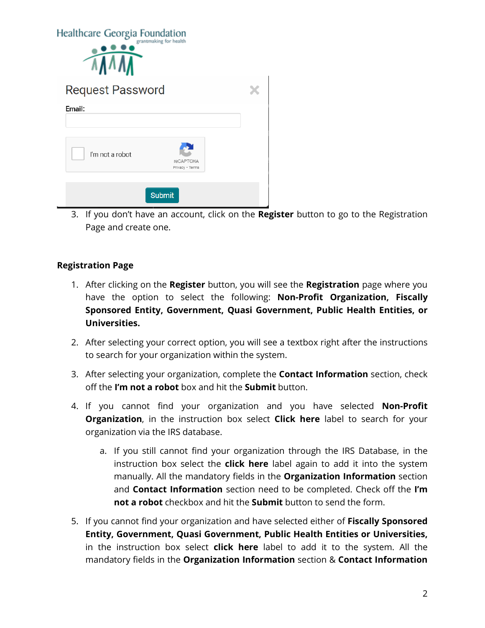| Healthcare Georgia Foundation | grantmaking for health              |  |
|-------------------------------|-------------------------------------|--|
| <b>Request Password</b>       |                                     |  |
| Email:                        |                                     |  |
| I'm not a robot               | <b>reCAPTCHA</b><br>Privacy - Terms |  |
|                               | <b>Submit</b>                       |  |

3. If you don't have an account, click on the **Register** button to go to the Registration Page and create one.

## **Registration Page**

- 1. After clicking on the **Register** button, you will see the **Registration** page where you have the option to select the following: **Non-Profit Organization, Fiscally Sponsored Entity, Government, Quasi Government, Public Health Entities, or Universities.**
- 2. After selecting your correct option, you will see a textbox right after the instructions to search for your organization within the system.
- 3. After selecting your organization, complete the **Contact Information** section, check off the **I'm not a robot** box and hit the **Submit** button.
- 4. If you cannot find your organization and you have selected **Non-Profit Organization**, in the instruction box select **Click here** label to search for your organization via the IRS database.
	- a. If you still cannot find your organization through the IRS Database, in the instruction box select the **click here** label again to add it into the system manually. All the mandatory fields in the **Organization Information** section and **Contact Information** section need to be completed. Check off the **I'm not a robot** checkbox and hit the **Submit** button to send the form.
- 5. If you cannot find your organization and have selected either of **Fiscally Sponsored Entity, Government, Quasi Government, Public Health Entities or Universities,**  in the instruction box select **click here** label to add it to the system. All the mandatory fields in the **Organization Information** section & **Contact Information**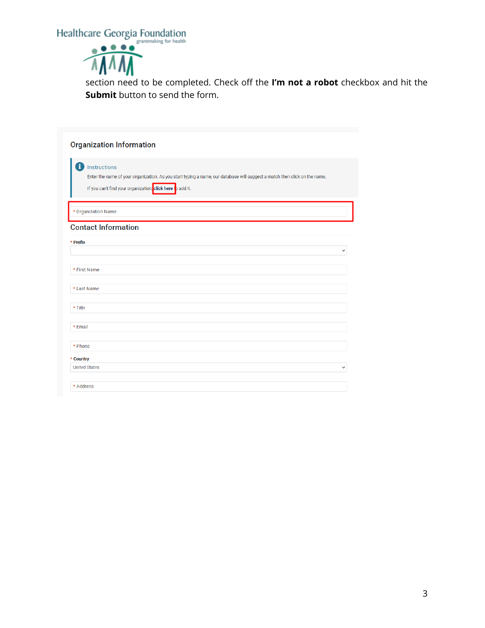Healthcare Georgia Foundation



section need to be completed. Check off the **I'm not a robot** checkbox and hit the **Submit** button to send the form.

| <b>Organization Information</b>                                                                                                                                                                               |             |
|---------------------------------------------------------------------------------------------------------------------------------------------------------------------------------------------------------------|-------------|
| Đ<br>Instructions<br>Enter the name of your organization. As you start typing a name, our database will suggest a match then click on the name.<br>If you can't find your organization, click here to add it. |             |
| * Organization Name                                                                                                                                                                                           |             |
| <b>Contact Information</b>                                                                                                                                                                                    |             |
| * Prefix                                                                                                                                                                                                      |             |
|                                                                                                                                                                                                               |             |
| * First Name                                                                                                                                                                                                  |             |
| * Last Name                                                                                                                                                                                                   |             |
| * Title                                                                                                                                                                                                       |             |
| * Email                                                                                                                                                                                                       |             |
| * Phone                                                                                                                                                                                                       |             |
| * Country                                                                                                                                                                                                     |             |
| <b>United States</b>                                                                                                                                                                                          | $\check{ }$ |
| * Address                                                                                                                                                                                                     |             |